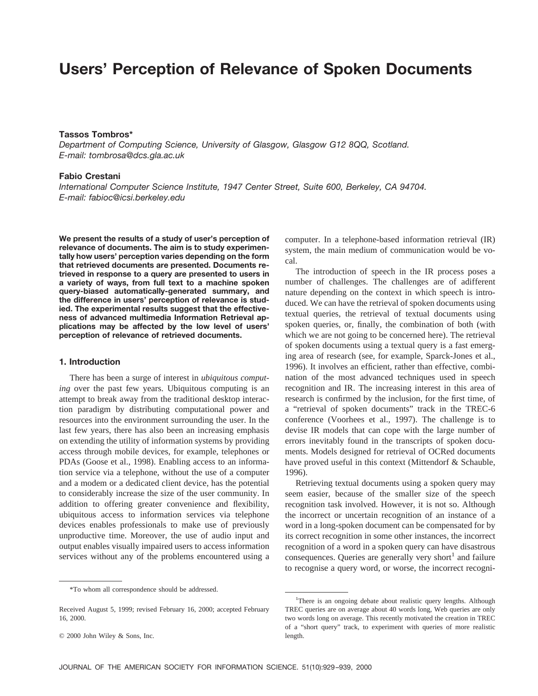# **Users' Perception of Relevance of Spoken Documents**

### **Tassos Tombros\***

*Department of Computing Science, University of Glasgow, Glasgow G12 8QQ, Scotland. E-mail: tombrosa@dcs.gla.ac.uk*

# **Fabio Crestani**

*International Computer Science Institute, 1947 Center Street, Suite 600, Berkeley, CA 94704. E-mail: fabioc@icsi.berkeley.edu*

**We present the results of a study of user's perception of relevance of documents. The aim is to study experimentally how users' perception varies depending on the form that retrieved documents are presented. Documents retrieved in response to a query are presented to users in a variety of ways, from full text to a machine spoken query-biased automatically-generated summary, and the difference in users' perception of relevance is studied. The experimental results suggest that the effectiveness of advanced multimedia Information Retrieval applications may be affected by the low level of users' perception of relevance of retrieved documents.**

# **1. Introduction**

There has been a surge of interest in *ubiquitous computing* over the past few years. Ubiquitous computing is an attempt to break away from the traditional desktop interaction paradigm by distributing computational power and resources into the environment surrounding the user. In the last few years, there has also been an increasing emphasis on extending the utility of information systems by providing access through mobile devices, for example, telephones or PDAs (Goose et al., 1998). Enabling access to an information service via a telephone, without the use of a computer and a modem or a dedicated client device, has the potential to considerably increase the size of the user community. In addition to offering greater convenience and flexibility, ubiquitous access to information services via telephone devices enables professionals to make use of previously unproductive time. Moreover, the use of audio input and output enables visually impaired users to access information services without any of the problems encountered using a

\*To whom all correspondence should be addressed.

computer. In a telephone-based information retrieval (IR) system, the main medium of communication would be vocal.

The introduction of speech in the IR process poses a number of challenges. The challenges are of adifferent nature depending on the context in which speech is introduced. We can have the retrieval of spoken documents using textual queries, the retrieval of textual documents using spoken queries, or, finally, the combination of both (with which we are not going to be concerned here). The retrieval of spoken documents using a textual query is a fast emerging area of research (see, for example, Sparck-Jones et al., 1996). It involves an efficient, rather than effective, combination of the most advanced techniques used in speech recognition and IR. The increasing interest in this area of research is confirmed by the inclusion, for the first time, of a "retrieval of spoken documents" track in the TREC-6 conference (Voorhees et al., 1997). The challenge is to devise IR models that can cope with the large number of errors inevitably found in the transcripts of spoken documents. Models designed for retrieval of OCRed documents have proved useful in this context (Mittendorf & Schauble, 1996).

Retrieving textual documents using a spoken query may seem easier, because of the smaller size of the speech recognition task involved. However, it is not so. Although the incorrect or uncertain recognition of an instance of a word in a long-spoken document can be compensated for by its correct recognition in some other instances, the incorrect recognition of a word in a spoken query can have disastrous consequences. Queries are generally very short<sup>1</sup> and failure to recognise a query word, or worse, the incorrect recogni-

Received August 5, 1999; revised February 16, 2000; accepted February 16, 2000.

<sup>© 2000</sup> John Wiley & Sons, Inc.

<sup>&</sup>lt;sup>1</sup>There is an ongoing debate about realistic query lengths. Although TREC queries are on average about 40 words long, Web queries are only two words long on average. This recently motivated the creation in TREC of a "short query" track, to experiment with queries of more realistic length.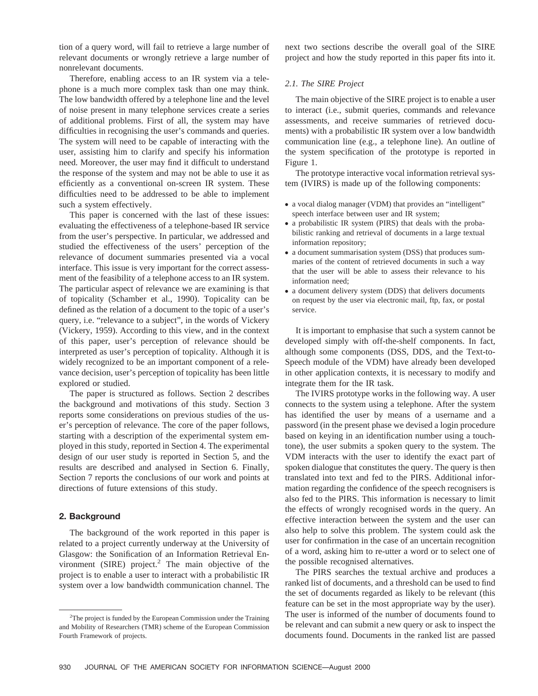tion of a query word, will fail to retrieve a large number of relevant documents or wrongly retrieve a large number of nonrelevant documents.

Therefore, enabling access to an IR system via a telephone is a much more complex task than one may think. The low bandwidth offered by a telephone line and the level of noise present in many telephone services create a series of additional problems. First of all, the system may have difficulties in recognising the user's commands and queries. The system will need to be capable of interacting with the user, assisting him to clarify and specify his information need. Moreover, the user may find it difficult to understand the response of the system and may not be able to use it as efficiently as a conventional on-screen IR system. These difficulties need to be addressed to be able to implement such a system effectively.

This paper is concerned with the last of these issues: evaluating the effectiveness of a telephone-based IR service from the user's perspective. In particular, we addressed and studied the effectiveness of the users' perception of the relevance of document summaries presented via a vocal interface. This issue is very important for the correct assessment of the feasibility of a telephone access to an IR system. The particular aspect of relevance we are examining is that of topicality (Schamber et al., 1990). Topicality can be defined as the relation of a document to the topic of a user's query, i.e. "relevance to a subject", in the words of Vickery (Vickery, 1959). According to this view, and in the context of this paper, user's perception of relevance should be interpreted as user's perception of topicality. Although it is widely recognized to be an important component of a relevance decision, user's perception of topicality has been little explored or studied.

The paper is structured as follows. Section 2 describes the background and motivations of this study. Section 3 reports some considerations on previous studies of the user's perception of relevance. The core of the paper follows, starting with a description of the experimental system employed in this study, reported in Section 4. The experimental design of our user study is reported in Section 5, and the results are described and analysed in Section 6. Finally, Section 7 reports the conclusions of our work and points at directions of future extensions of this study.

# **2. Background**

The background of the work reported in this paper is related to a project currently underway at the University of Glasgow: the Sonification of an Information Retrieval Environment (SIRE) project.<sup>2</sup> The main objective of the project is to enable a user to interact with a probabilistic IR system over a low bandwidth communication channel. The next two sections describe the overall goal of the SIRE project and how the study reported in this paper fits into it.

# *2.1. The SIRE Project*

The main objective of the SIRE project is to enable a user to interact (i.e., submit queries, commands and relevance assessments, and receive summaries of retrieved documents) with a probabilistic IR system over a low bandwidth communication line (e.g., a telephone line). An outline of the system specification of the prototype is reported in Figure 1.

The prototype interactive vocal information retrieval system (IVIRS) is made up of the following components:

- a vocal dialog manager (VDM) that provides an "intelligent" speech interface between user and IR system;
- a probabilistic IR system (PIRS) that deals with the probabilistic ranking and retrieval of documents in a large textual information repository;
- a document summarisation system (DSS) that produces summaries of the content of retrieved documents in such a way that the user will be able to assess their relevance to his information need;
- a document delivery system (DDS) that delivers documents on request by the user via electronic mail, ftp, fax, or postal service.

It is important to emphasise that such a system cannot be developed simply with off-the-shelf components. In fact, although some components (DSS, DDS, and the Text-to-Speech module of the VDM) have already been developed in other application contexts, it is necessary to modify and integrate them for the IR task.

The IVIRS prototype works in the following way. A user connects to the system using a telephone. After the system has identified the user by means of a username and a password (in the present phase we devised a login procedure based on keying in an identification number using a touchtone), the user submits a spoken query to the system. The VDM interacts with the user to identify the exact part of spoken dialogue that constitutes the query. The query is then translated into text and fed to the PIRS. Additional information regarding the confidence of the speech recognisers is also fed to the PIRS. This information is necessary to limit the effects of wrongly recognised words in the query. An effective interaction between the system and the user can also help to solve this problem. The system could ask the user for confirmation in the case of an uncertain recognition of a word, asking him to re-utter a word or to select one of the possible recognised alternatives.

The PIRS searches the textual archive and produces a ranked list of documents, and a threshold can be used to find the set of documents regarded as likely to be relevant (this feature can be set in the most appropriate way by the user). The user is informed of the number of documents found to be relevant and can submit a new query or ask to inspect the documents found. Documents in the ranked list are passed

<sup>&</sup>lt;sup>2</sup>The project is funded by the European Commission under the Training and Mobility of Researchers (TMR) scheme of the European Commission Fourth Framework of projects.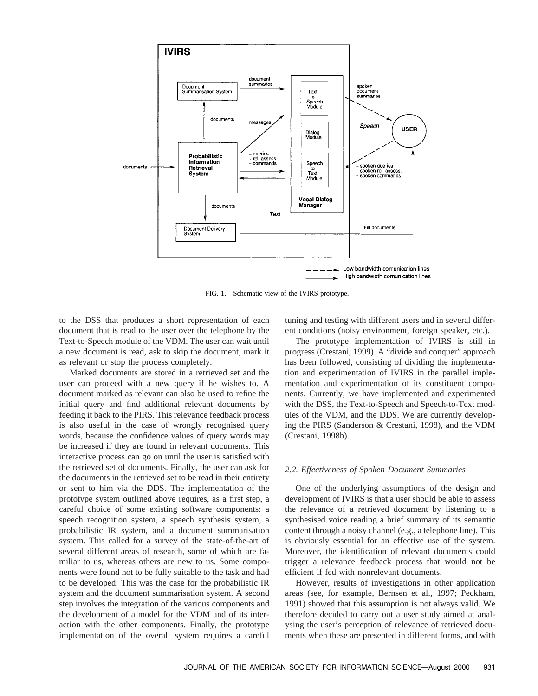

FIG. 1. Schematic view of the IVIRS prototype.

to the DSS that produces a short representation of each document that is read to the user over the telephone by the Text-to-Speech module of the VDM. The user can wait until a new document is read, ask to skip the document, mark it as relevant or stop the process completely.

Marked documents are stored in a retrieved set and the user can proceed with a new query if he wishes to. A document marked as relevant can also be used to refine the initial query and find additional relevant documents by feeding it back to the PIRS. This relevance feedback process is also useful in the case of wrongly recognised query words, because the confidence values of query words may be increased if they are found in relevant documents. This interactive process can go on until the user is satisfied with the retrieved set of documents. Finally, the user can ask for the documents in the retrieved set to be read in their entirety or sent to him via the DDS. The implementation of the prototype system outlined above requires, as a first step, a careful choice of some existing software components: a speech recognition system, a speech synthesis system, a probabilistic IR system, and a document summarisation system. This called for a survey of the state-of-the-art of several different areas of research, some of which are familiar to us, whereas others are new to us. Some components were found not to be fully suitable to the task and had to be developed. This was the case for the probabilistic IR system and the document summarisation system. A second step involves the integration of the various components and the development of a model for the VDM and of its interaction with the other components. Finally, the prototype implementation of the overall system requires a careful

tuning and testing with different users and in several different conditions (noisy environment, foreign speaker, etc.).

The prototype implementation of IVIRS is still in progress (Crestani, 1999). A "divide and conquer" approach has been followed, consisting of dividing the implementation and experimentation of IVIRS in the parallel implementation and experimentation of its constituent components. Currently, we have implemented and experimented with the DSS, the Text-to-Speech and Speech-to-Text modules of the VDM, and the DDS. We are currently developing the PIRS (Sanderson & Crestani, 1998), and the VDM (Crestani, 1998b).

# *2.2. Effectiveness of Spoken Document Summaries*

One of the underlying assumptions of the design and development of IVIRS is that a user should be able to assess the relevance of a retrieved document by listening to a synthesised voice reading a brief summary of its semantic content through a noisy channel (e.g., a telephone line). This is obviously essential for an effective use of the system. Moreover, the identification of relevant documents could trigger a relevance feedback process that would not be efficient if fed with nonrelevant documents.

However, results of investigations in other application areas (see, for example, Bernsen et al., 1997; Peckham, 1991) showed that this assumption is not always valid. We therefore decided to carry out a user study aimed at analysing the user's perception of relevance of retrieved documents when these are presented in different forms, and with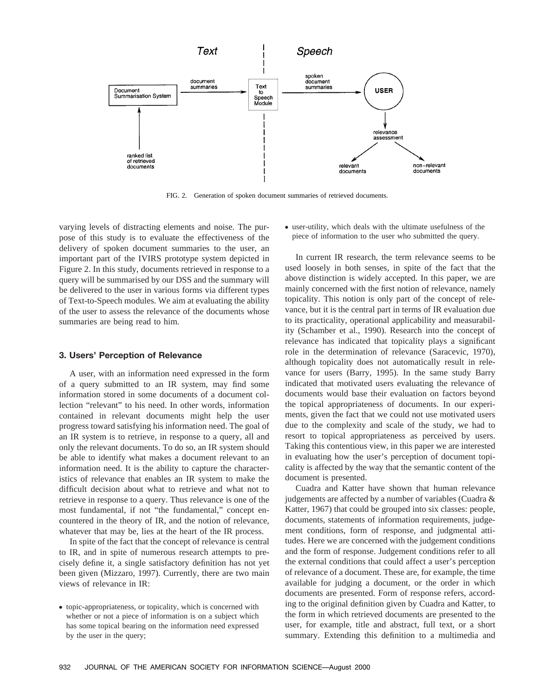

FIG. 2. Generation of spoken document summaries of retrieved documents.

varying levels of distracting elements and noise. The purpose of this study is to evaluate the effectiveness of the delivery of spoken document summaries to the user, an important part of the IVIRS prototype system depicted in Figure 2. In this study, documents retrieved in response to a query will be summarised by our DSS and the summary will be delivered to the user in various forms via different types of Text-to-Speech modules. We aim at evaluating the ability of the user to assess the relevance of the documents whose summaries are being read to him.

## **3. Users' Perception of Relevance**

A user, with an information need expressed in the form of a query submitted to an IR system, may find some information stored in some documents of a document collection "relevant" to his need. In other words, information contained in relevant documents might help the user progress toward satisfying his information need. The goal of an IR system is to retrieve, in response to a query, all and only the relevant documents. To do so, an IR system should be able to identify what makes a document relevant to an information need. It is the ability to capture the characteristics of relevance that enables an IR system to make the difficult decision about what to retrieve and what not to retrieve in response to a query. Thus relevance is one of the most fundamental, if not "the fundamental," concept encountered in the theory of IR, and the notion of relevance, whatever that may be, lies at the heart of the IR process.

In spite of the fact that the concept of relevance is central to IR, and in spite of numerous research attempts to precisely define it, a single satisfactory definition has not yet been given (Mizzaro, 1997). Currently, there are two main views of relevance in IR:

● topic-appropriateness, or topicality, which is concerned with whether or not a piece of information is on a subject which has some topical bearing on the information need expressed by the user in the query;

• user-utility, which deals with the ultimate usefulness of the piece of information to the user who submitted the query.

In current IR research, the term relevance seems to be used loosely in both senses, in spite of the fact that the above distinction is widely accepted. In this paper, we are mainly concerned with the first notion of relevance, namely topicality. This notion is only part of the concept of relevance, but it is the central part in terms of IR evaluation due to its practicality, operational applicability and measurability (Schamber et al., 1990). Research into the concept of relevance has indicated that topicality plays a significant role in the determination of relevance (Saracevic, 1970), although topicality does not automatically result in relevance for users (Barry, 1995). In the same study Barry indicated that motivated users evaluating the relevance of documents would base their evaluation on factors beyond the topical appropriateness of documents. In our experiments, given the fact that we could not use motivated users due to the complexity and scale of the study, we had to resort to topical appropriateness as perceived by users. Taking this contentious view, in this paper we are interested in evaluating how the user's perception of document topicality is affected by the way that the semantic content of the document is presented.

Cuadra and Katter have shown that human relevance judgements are affected by a number of variables (Cuadra & Katter, 1967) that could be grouped into six classes: people, documents, statements of information requirements, judgement conditions, form of response, and judgmental attitudes. Here we are concerned with the judgement conditions and the form of response. Judgement conditions refer to all the external conditions that could affect a user's perception of relevance of a document. These are, for example, the time available for judging a document, or the order in which documents are presented. Form of response refers, according to the original definition given by Cuadra and Katter, to the form in which retrieved documents are presented to the user, for example, title and abstract, full text, or a short summary. Extending this definition to a multimedia and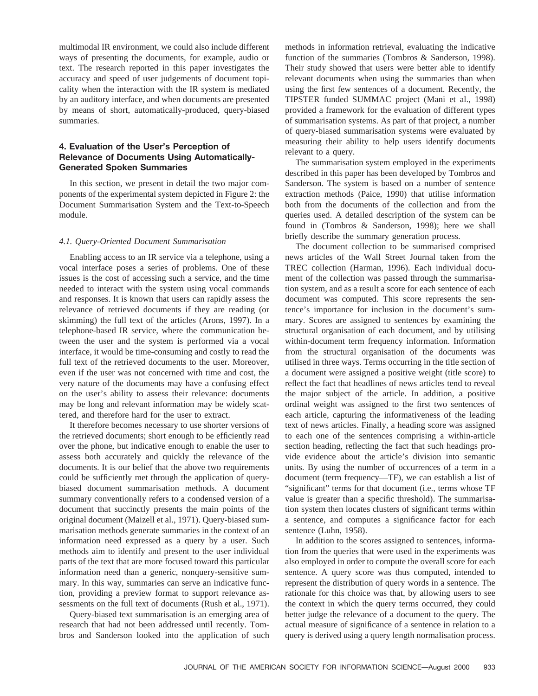multimodal IR environment, we could also include different ways of presenting the documents, for example, audio or text. The research reported in this paper investigates the accuracy and speed of user judgements of document topicality when the interaction with the IR system is mediated by an auditory interface, and when documents are presented by means of short, automatically-produced, query-biased summaries.

# **4. Evaluation of the User's Perception of Relevance of Documents Using Automatically-Generated Spoken Summaries**

In this section, we present in detail the two major components of the experimental system depicted in Figure 2: the Document Summarisation System and the Text-to-Speech module.

### *4.1. Query-Oriented Document Summarisation*

Enabling access to an IR service via a telephone, using a vocal interface poses a series of problems. One of these issues is the cost of accessing such a service, and the time needed to interact with the system using vocal commands and responses. It is known that users can rapidly assess the relevance of retrieved documents if they are reading (or skimming) the full text of the articles (Arons, 1997). In a telephone-based IR service, where the communication between the user and the system is performed via a vocal interface, it would be time-consuming and costly to read the full text of the retrieved documents to the user. Moreover, even if the user was not concerned with time and cost, the very nature of the documents may have a confusing effect on the user's ability to assess their relevance: documents may be long and relevant information may be widely scattered, and therefore hard for the user to extract.

It therefore becomes necessary to use shorter versions of the retrieved documents; short enough to be efficiently read over the phone, but indicative enough to enable the user to assess both accurately and quickly the relevance of the documents. It is our belief that the above two requirements could be sufficiently met through the application of querybiased document summarisation methods. A document summary conventionally refers to a condensed version of a document that succinctly presents the main points of the original document (Maizell et al., 1971). Query-biased summarisation methods generate summaries in the context of an information need expressed as a query by a user. Such methods aim to identify and present to the user individual parts of the text that are more focused toward this particular information need than a generic, nonquery-sensitive summary. In this way, summaries can serve an indicative function, providing a preview format to support relevance assessments on the full text of documents (Rush et al., 1971).

Query-biased text summarisation is an emerging area of research that had not been addressed until recently. Tombros and Sanderson looked into the application of such

methods in information retrieval, evaluating the indicative function of the summaries (Tombros & Sanderson, 1998). Their study showed that users were better able to identify relevant documents when using the summaries than when using the first few sentences of a document. Recently, the TIPSTER funded SUMMAC project (Mani et al., 1998) provided a framework for the evaluation of different types of summarisation systems. As part of that project, a number of query-biased summarisation systems were evaluated by measuring their ability to help users identify documents relevant to a query.

The summarisation system employed in the experiments described in this paper has been developed by Tombros and Sanderson. The system is based on a number of sentence extraction methods (Paice, 1990) that utilise information both from the documents of the collection and from the queries used. A detailed description of the system can be found in (Tombros & Sanderson, 1998); here we shall briefly describe the summary generation process.

The document collection to be summarised comprised news articles of the Wall Street Journal taken from the TREC collection (Harman, 1996). Each individual document of the collection was passed through the summarisation system, and as a result a score for each sentence of each document was computed. This score represents the sentence's importance for inclusion in the document's summary. Scores are assigned to sentences by examining the structural organisation of each document, and by utilising within-document term frequency information. Information from the structural organisation of the documents was utilised in three ways. Terms occurring in the title section of a document were assigned a positive weight (title score) to reflect the fact that headlines of news articles tend to reveal the major subject of the article. In addition, a positive ordinal weight was assigned to the first two sentences of each article, capturing the informativeness of the leading text of news articles. Finally, a heading score was assigned to each one of the sentences comprising a within-article section heading, reflecting the fact that such headings provide evidence about the article's division into semantic units. By using the number of occurrences of a term in a document (term frequency—TF), we can establish a list of "significant" terms for that document (i.e., terms whose TF value is greater than a specific threshold). The summarisation system then locates clusters of significant terms within a sentence, and computes a significance factor for each sentence (Luhn, 1958).

In addition to the scores assigned to sentences, information from the queries that were used in the experiments was also employed in order to compute the overall score for each sentence. A query score was thus computed, intended to represent the distribution of query words in a sentence. The rationale for this choice was that, by allowing users to see the context in which the query terms occurred, they could better judge the relevance of a document to the query. The actual measure of significance of a sentence in relation to a query is derived using a query length normalisation process.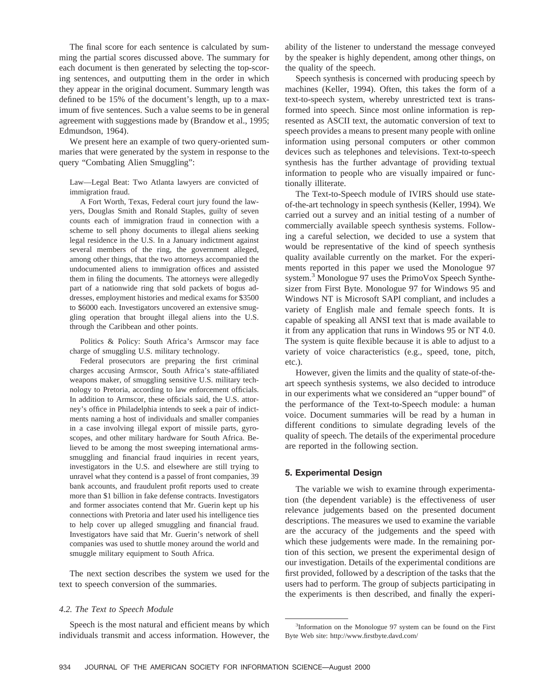The final score for each sentence is calculated by summing the partial scores discussed above. The summary for each document is then generated by selecting the top-scoring sentences, and outputting them in the order in which they appear in the original document. Summary length was defined to be 15% of the document's length, up to a maximum of five sentences. Such a value seems to be in general agreement with suggestions made by (Brandow et al., 1995; Edmundson, 1964).

We present here an example of two query-oriented summaries that were generated by the system in response to the query "Combating Alien Smuggling":

Law—Legal Beat: Two Atlanta lawyers are convicted of immigration fraud.

A Fort Worth, Texas, Federal court jury found the lawyers, Douglas Smith and Ronald Staples, guilty of seven counts each of immigration fraud in connection with a scheme to sell phony documents to illegal aliens seeking legal residence in the U.S. In a January indictment against several members of the ring, the government alleged, among other things, that the two attorneys accompanied the undocumented aliens to immigration offices and assisted them in filing the documents. The attorneys were allegedly part of a nationwide ring that sold packets of bogus addresses, employment histories and medical exams for \$3500 to \$6000 each. Investigators uncovered an extensive smuggling operation that brought illegal aliens into the U.S. through the Caribbean and other points.

Politics & Policy: South Africa's Armscor may face charge of smuggling U.S. military technology.

Federal prosecutors are preparing the first criminal charges accusing Armscor, South Africa's state-affiliated weapons maker, of smuggling sensitive U.S. military technology to Pretoria, according to law enforcement officials. In addition to Armscor, these officials said, the U.S. attorney's office in Philadelphia intends to seek a pair of indictments naming a host of individuals and smaller companies in a case involving illegal export of missile parts, gyroscopes, and other military hardware for South Africa. Believed to be among the most sweeping international armssmuggling and financial fraud inquiries in recent years, investigators in the U.S. and elsewhere are still trying to unravel what they contend is a passel of front companies, 39 bank accounts, and fraudulent profit reports used to create more than \$1 billion in fake defense contracts. Investigators and former associates contend that Mr. Guerin kept up his connections with Pretoria and later used his intelligence ties to help cover up alleged smuggling and financial fraud. Investigators have said that Mr. Guerin's network of shell companies was used to shuttle money around the world and smuggle military equipment to South Africa.

The next section describes the system we used for the text to speech conversion of the summaries.

### *4.2. The Text to Speech Module*

Speech is the most natural and efficient means by which individuals transmit and access information. However, the

ability of the listener to understand the message conveyed by the speaker is highly dependent, among other things, on the quality of the speech.

Speech synthesis is concerned with producing speech by machines (Keller, 1994). Often, this takes the form of a text-to-speech system, whereby unrestricted text is transformed into speech. Since most online information is represented as ASCII text, the automatic conversion of text to speech provides a means to present many people with online information using personal computers or other common devices such as telephones and televisions. Text-to-speech synthesis has the further advantage of providing textual information to people who are visually impaired or functionally illiterate.

The Text-to-Speech module of IVIRS should use stateof-the-art technology in speech synthesis (Keller, 1994). We carried out a survey and an initial testing of a number of commercially available speech synthesis systems. Following a careful selection, we decided to use a system that would be representative of the kind of speech synthesis quality available currently on the market. For the experiments reported in this paper we used the Monologue 97 system.<sup>3</sup> Monologue 97 uses the PrimoVox Speech Synthesizer from First Byte. Monologue 97 for Windows 95 and Windows NT is Microsoft SAPI compliant, and includes a variety of English male and female speech fonts. It is capable of speaking all ANSI text that is made available to it from any application that runs in Windows 95 or NT 4.0. The system is quite flexible because it is able to adjust to a variety of voice characteristics (e.g., speed, tone, pitch, etc.).

However, given the limits and the quality of state-of-theart speech synthesis systems, we also decided to introduce in our experiments what we considered an "upper bound" of the performance of the Text-to-Speech module: a human voice. Document summaries will be read by a human in different conditions to simulate degrading levels of the quality of speech. The details of the experimental procedure are reported in the following section.

# **5. Experimental Design**

The variable we wish to examine through experimentation (the dependent variable) is the effectiveness of user relevance judgements based on the presented document descriptions. The measures we used to examine the variable are the accuracy of the judgements and the speed with which these judgements were made. In the remaining portion of this section, we present the experimental design of our investigation. Details of the experimental conditions are first provided, followed by a description of the tasks that the users had to perform. The group of subjects participating in the experiments is then described, and finally the experi-

<sup>3</sup> Information on the Monologue 97 system can be found on the First Byte Web site: http://www.firstbyte.davd.com/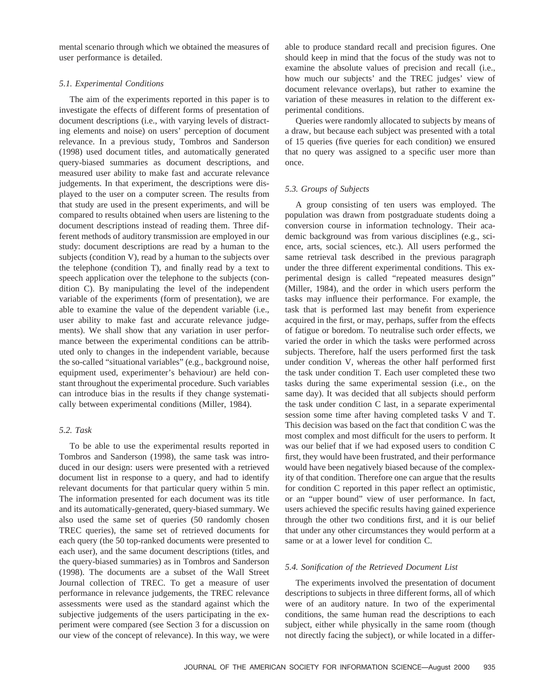mental scenario through which we obtained the measures of user performance is detailed.

# *5.1. Experimental Conditions*

The aim of the experiments reported in this paper is to investigate the effects of different forms of presentation of document descriptions (i.e., with varying levels of distracting elements and noise) on users' perception of document relevance. In a previous study, Tombros and Sanderson (1998) used document titles, and automatically generated query-biased summaries as document descriptions, and measured user ability to make fast and accurate relevance judgements. In that experiment, the descriptions were displayed to the user on a computer screen. The results from that study are used in the present experiments, and will be compared to results obtained when users are listening to the document descriptions instead of reading them. Three different methods of auditory transmission are employed in our study: document descriptions are read by a human to the subjects (condition V), read by a human to the subjects over the telephone (condition T), and finally read by a text to speech application over the telephone to the subjects (condition C). By manipulating the level of the independent variable of the experiments (form of presentation), we are able to examine the value of the dependent variable (i.e., user ability to make fast and accurate relevance judgements). We shall show that any variation in user performance between the experimental conditions can be attributed only to changes in the independent variable, because the so-called "situational variables" (e.g., background noise, equipment used, experimenter's behaviour) are held constant throughout the experimental procedure. Such variables can introduce bias in the results if they change systematically between experimental conditions (Miller, 1984).

# *5.2. Task*

To be able to use the experimental results reported in Tombros and Sanderson (1998), the same task was introduced in our design: users were presented with a retrieved document list in response to a query, and had to identify relevant documents for that particular query within 5 min. The information presented for each document was its title and its automatically-generated, query-biased summary. We also used the same set of queries (50 randomly chosen TREC queries), the same set of retrieved documents for each query (the 50 top-ranked documents were presented to each user), and the same document descriptions (titles, and the query-biased summaries) as in Tombros and Sanderson (1998). The documents are a subset of the Wall Street Journal collection of TREC. To get a measure of user performance in relevance judgements, the TREC relevance assessments were used as the standard against which the subjective judgements of the users participating in the experiment were compared (see Section 3 for a discussion on our view of the concept of relevance). In this way, we were

able to produce standard recall and precision figures. One should keep in mind that the focus of the study was not to examine the absolute values of precision and recall (i.e., how much our subjects' and the TREC judges' view of document relevance overlaps), but rather to examine the variation of these measures in relation to the different experimental conditions.

Queries were randomly allocated to subjects by means of a draw, but because each subject was presented with a total of 15 queries (five queries for each condition) we ensured that no query was assigned to a specific user more than once.

# *5.3. Groups of Subjects*

A group consisting of ten users was employed. The population was drawn from postgraduate students doing a conversion course in information technology. Their academic background was from various disciplines (e.g., science, arts, social sciences, etc.). All users performed the same retrieval task described in the previous paragraph under the three different experimental conditions. This experimental design is called "repeated measures design" (Miller, 1984), and the order in which users perform the tasks may influence their performance. For example, the task that is performed last may benefit from experience acquired in the first, or may, perhaps, suffer from the effects of fatigue or boredom. To neutralise such order effects, we varied the order in which the tasks were performed across subjects. Therefore, half the users performed first the task under condition V, whereas the other half performed first the task under condition T. Each user completed these two tasks during the same experimental session (i.e., on the same day). It was decided that all subjects should perform the task under condition C last, in a separate experimental session some time after having completed tasks V and T. This decision was based on the fact that condition C was the most complex and most difficult for the users to perform. It was our belief that if we had exposed users to condition C first, they would have been frustrated, and their performance would have been negatively biased because of the complexity of that condition. Therefore one can argue that the results for condition C reported in this paper reflect an optimistic, or an "upper bound" view of user performance. In fact, users achieved the specific results having gained experience through the other two conditions first, and it is our belief that under any other circumstances they would perform at a same or at a lower level for condition C.

### *5.4. Sonification of the Retrieved Document List*

The experiments involved the presentation of document descriptions to subjects in three different forms, all of which were of an auditory nature. In two of the experimental conditions, the same human read the descriptions to each subject, either while physically in the same room (though not directly facing the subject), or while located in a differ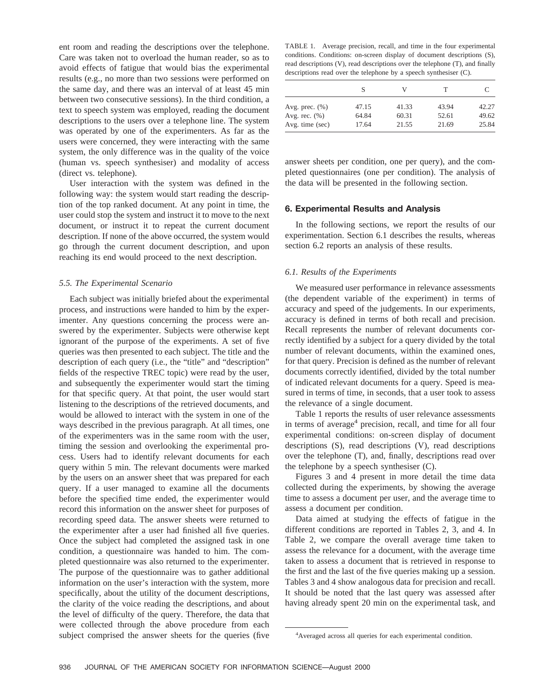ent room and reading the descriptions over the telephone. Care was taken not to overload the human reader, so as to avoid effects of fatigue that would bias the experimental results (e.g., no more than two sessions were performed on the same day, and there was an interval of at least 45 min between two consecutive sessions). In the third condition, a text to speech system was employed, reading the document descriptions to the users over a telephone line. The system was operated by one of the experimenters. As far as the users were concerned, they were interacting with the same system, the only difference was in the quality of the voice (human vs. speech synthesiser) and modality of access (direct vs. telephone).

User interaction with the system was defined in the following way: the system would start reading the description of the top ranked document. At any point in time, the user could stop the system and instruct it to move to the next document, or instruct it to repeat the current document description. If none of the above occurred, the system would go through the current document description, and upon reaching its end would proceed to the next description.

#### *5.5. The Experimental Scenario*

Each subject was initially briefed about the experimental process, and instructions were handed to him by the experimenter. Any questions concerning the process were answered by the experimenter. Subjects were otherwise kept ignorant of the purpose of the experiments. A set of five queries was then presented to each subject. The title and the description of each query (i.e., the "title" and "description" fields of the respective TREC topic) were read by the user, and subsequently the experimenter would start the timing for that specific query. At that point, the user would start listening to the descriptions of the retrieved documents, and would be allowed to interact with the system in one of the ways described in the previous paragraph. At all times, one of the experimenters was in the same room with the user, timing the session and overlooking the experimental process. Users had to identify relevant documents for each query within 5 min. The relevant documents were marked by the users on an answer sheet that was prepared for each query. If a user managed to examine all the documents before the specified time ended, the experimenter would record this information on the answer sheet for purposes of recording speed data. The answer sheets were returned to the experimenter after a user had finished all five queries. Once the subject had completed the assigned task in one condition, a questionnaire was handed to him. The completed questionnaire was also returned to the experimenter. The purpose of the questionnaire was to gather additional information on the user's interaction with the system, more specifically, about the utility of the document descriptions, the clarity of the voice reading the descriptions, and about the level of difficulty of the query. Therefore, the data that were collected through the above procedure from each subject comprised the answer sheets for the queries (five

TABLE 1. Average precision, recall, and time in the four experimental conditions. Conditions: on-screen display of document descriptions (S), read descriptions (V), read descriptions over the telephone (T), and finally descriptions read over the telephone by a speech synthesiser (C).

|                   | S     |       | т     | C     |
|-------------------|-------|-------|-------|-------|
| Avg. prec. $(\%)$ | 47.15 | 41.33 | 43.94 | 42.27 |
| Avg. rec. $(\%)$  | 64.84 | 60.31 | 52.61 | 49.62 |
| Avg. time (sec)   | 17.64 | 21.55 | 21.69 | 25.84 |

answer sheets per condition, one per query), and the completed questionnaires (one per condition). The analysis of the data will be presented in the following section.

# **6. Experimental Results and Analysis**

In the following sections, we report the results of our experimentation. Section 6.1 describes the results, whereas section 6.2 reports an analysis of these results.

#### *6.1. Results of the Experiments*

We measured user performance in relevance assessments (the dependent variable of the experiment) in terms of accuracy and speed of the judgements. In our experiments, accuracy is defined in terms of both recall and precision. Recall represents the number of relevant documents correctly identified by a subject for a query divided by the total number of relevant documents, within the examined ones, for that query. Precision is defined as the number of relevant documents correctly identified, divided by the total number of indicated relevant documents for a query. Speed is measured in terms of time, in seconds, that a user took to assess the relevance of a single document.

Table 1 reports the results of user relevance assessments in terms of average<sup>4</sup> precision, recall, and time for all four experimental conditions: on-screen display of document descriptions (S), read descriptions (V), read descriptions over the telephone (T), and, finally, descriptions read over the telephone by a speech synthesiser (C).

Figures 3 and 4 present in more detail the time data collected during the experiments, by showing the average time to assess a document per user, and the average time to assess a document per condition.

Data aimed at studying the effects of fatigue in the different conditions are reported in Tables 2, 3, and 4. In Table 2, we compare the overall average time taken to assess the relevance for a document, with the average time taken to assess a document that is retrieved in response to the first and the last of the five queries making up a session. Tables 3 and 4 show analogous data for precision and recall. It should be noted that the last query was assessed after having already spent 20 min on the experimental task, and

<sup>4</sup> Averaged across all queries for each experimental condition.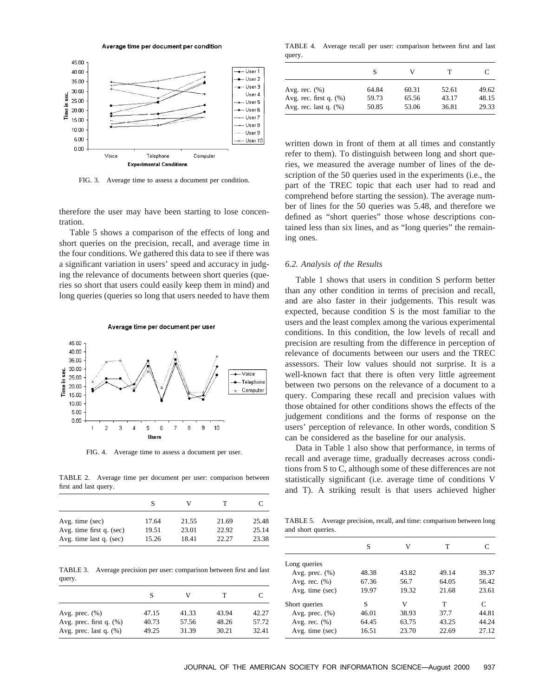#### Average time per document per condition



FIG. 3. Average time to assess a document per condition.

therefore the user may have been starting to lose concentration.

Table 5 shows a comparison of the effects of long and short queries on the precision, recall, and average time in the four conditions. We gathered this data to see if there was a significant variation in users' speed and accuracy in judging the relevance of documents between short queries (queries so short that users could easily keep them in mind) and long queries (queries so long that users needed to have them

Average time per document per user



FIG. 4. Average time to assess a document per user.

TABLE 2. Average time per document per user: comparison between first and last query.

|                          |       | V     |       | C     |
|--------------------------|-------|-------|-------|-------|
| Avg. time (sec)          | 17.64 | 21.55 | 21.69 | 25.48 |
| Avg. time first q. (sec) | 19.51 | 23.01 | 22.92 | 25.14 |
| Avg. time last q. (sec)  | 15.26 | 18.41 | 22.27 | 23.38 |

TABLE 3. Average precision per user: comparison between first and last query.

|                                                         |                |                |                | $\mathfrak{c}$ |
|---------------------------------------------------------|----------------|----------------|----------------|----------------|
| Avg. prec. $(\%)$                                       | 47.15          | 41.33          | 43.94          | 42.27          |
| Avg. prec. first q. $(\%)$<br>Avg. prec. last q. $(\%)$ | 40.73<br>49.25 | 57.56<br>31.39 | 48.26<br>30.21 | 57.72<br>32.41 |

TABLE 4. Average recall per user: comparison between first and last query.

| Avg. rec. $(\%)$          | 64.84 | 60.31 | 52.61 | 49.62 |
|---------------------------|-------|-------|-------|-------|
| Avg. rec. first q. $(\%)$ | 59.73 | 65.56 | 43.17 | 48.15 |
| Avg. rec. last q. $(\%)$  | 50.85 | 53.06 | 36.81 | 29.33 |

written down in front of them at all times and constantly refer to them). To distinguish between long and short queries, we measured the average number of lines of the description of the 50 queries used in the experiments (i.e., the part of the TREC topic that each user had to read and comprehend before starting the session). The average number of lines for the 50 queries was 5.48, and therefore we defined as "short queries" those whose descriptions contained less than six lines, and as "long queries" the remaining ones.

#### *6.2. Analysis of the Results*

Table 1 shows that users in condition S perform better than any other condition in terms of precision and recall, and are also faster in their judgements. This result was expected, because condition S is the most familiar to the users and the least complex among the various experimental conditions. In this condition, the low levels of recall and precision are resulting from the difference in perception of relevance of documents between our users and the TREC assessors. Their low values should not surprise. It is a well-known fact that there is often very little agreement between two persons on the relevance of a document to a query. Comparing these recall and precision values with those obtained for other conditions shows the effects of the judgement conditions and the forms of response on the users' perception of relevance. In other words, condition S can be considered as the baseline for our analysis.

Data in Table 1 also show that performance, in terms of recall and average time, gradually decreases across conditions from S to C, although some of these differences are not statistically significant (i.e. average time of conditions V and T). A striking result is that users achieved higher

TABLE 5. Average precision, recall, and time: comparison between long and short queries.

|                   | S     | v     | т     |       |
|-------------------|-------|-------|-------|-------|
| Long queries      |       |       |       |       |
| Avg. prec. $(\%)$ | 48.38 | 43.82 | 49.14 | 39.37 |
| Avg. rec. $(\%)$  | 67.36 | 56.7  | 64.05 | 56.42 |
| Avg. time (sec)   | 19.97 | 19.32 | 21.68 | 23.61 |
| Short queries     | S     | V     | т     | C     |
| Avg. prec. $(\%)$ | 46.01 | 38.93 | 37.7  | 44.81 |
| Avg. rec. $(\%)$  | 64.45 | 63.75 | 43.25 | 44.24 |
| Avg. time (sec)   | 16.51 | 23.70 | 22.69 | 27.12 |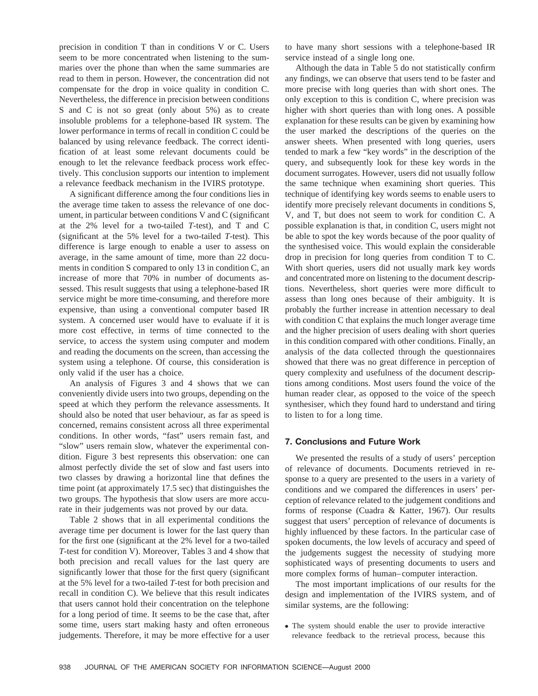precision in condition T than in conditions V or C. Users seem to be more concentrated when listening to the summaries over the phone than when the same summaries are read to them in person. However, the concentration did not compensate for the drop in voice quality in condition C. Nevertheless, the difference in precision between conditions S and C is not so great (only about 5%) as to create insoluble problems for a telephone-based IR system. The lower performance in terms of recall in condition C could be balanced by using relevance feedback. The correct identification of at least some relevant documents could be enough to let the relevance feedback process work effectively. This conclusion supports our intention to implement a relevance feedback mechanism in the IVIRS prototype.

A significant difference among the four conditions lies in the average time taken to assess the relevance of one document, in particular between conditions V and C (significant at the 2% level for a two-tailed *T*-test), and T and C (significant at the 5% level for a two-tailed *T*-test). This difference is large enough to enable a user to assess on average, in the same amount of time, more than 22 documents in condition S compared to only 13 in condition C, an increase of more that 70% in number of documents assessed. This result suggests that using a telephone-based IR service might be more time-consuming, and therefore more expensive, than using a conventional computer based IR system. A concerned user would have to evaluate if it is more cost effective, in terms of time connected to the service, to access the system using computer and modem and reading the documents on the screen, than accessing the system using a telephone. Of course, this consideration is only valid if the user has a choice.

An analysis of Figures 3 and 4 shows that we can conveniently divide users into two groups, depending on the speed at which they perform the relevance assessments. It should also be noted that user behaviour, as far as speed is concerned, remains consistent across all three experimental conditions. In other words, "fast" users remain fast, and "slow" users remain slow, whatever the experimental condition. Figure 3 best represents this observation: one can almost perfectly divide the set of slow and fast users into two classes by drawing a horizontal line that defines the time point (at approximately 17.5 sec) that distinguishes the two groups. The hypothesis that slow users are more accurate in their judgements was not proved by our data.

Table 2 shows that in all experimental conditions the average time per document is lower for the last query than for the first one (significant at the 2% level for a two-tailed *T*-test for condition V). Moreover, Tables 3 and 4 show that both precision and recall values for the last query are significantly lower that those for the first query (significant at the 5% level for a two-tailed *T*-test for both precision and recall in condition C). We believe that this result indicates that users cannot hold their concentration on the telephone for a long period of time. It seems to be the case that, after some time, users start making hasty and often erroneous judgements. Therefore, it may be more effective for a user to have many short sessions with a telephone-based IR service instead of a single long one.

Although the data in Table 5 do not statistically confirm any findings, we can observe that users tend to be faster and more precise with long queries than with short ones. The only exception to this is condition C, where precision was higher with short queries than with long ones. A possible explanation for these results can be given by examining how the user marked the descriptions of the queries on the answer sheets. When presented with long queries, users tended to mark a few "key words" in the description of the query, and subsequently look for these key words in the document surrogates. However, users did not usually follow the same technique when examining short queries. This technique of identifying key words seems to enable users to identify more precisely relevant documents in conditions S, V, and T, but does not seem to work for condition C. A possible explanation is that, in condition C, users might not be able to spot the key words because of the poor quality of the synthesised voice. This would explain the considerable drop in precision for long queries from condition T to C. With short queries, users did not usually mark key words and concentrated more on listening to the document descriptions. Nevertheless, short queries were more difficult to assess than long ones because of their ambiguity. It is probably the further increase in attention necessary to deal with condition C that explains the much longer average time and the higher precision of users dealing with short queries in this condition compared with other conditions. Finally, an analysis of the data collected through the questionnaires showed that there was no great difference in perception of query complexity and usefulness of the document descriptions among conditions. Most users found the voice of the human reader clear, as opposed to the voice of the speech synthesiser, which they found hard to understand and tiring to listen to for a long time.

# **7. Conclusions and Future Work**

We presented the results of a study of users' perception of relevance of documents. Documents retrieved in response to a query are presented to the users in a variety of conditions and we compared the differences in users' perception of relevance related to the judgement conditions and forms of response (Cuadra & Katter, 1967). Our results suggest that users' perception of relevance of documents is highly influenced by these factors. In the particular case of spoken documents, the low levels of accuracy and speed of the judgements suggest the necessity of studying more sophisticated ways of presenting documents to users and more complex forms of human–computer interaction.

The most important implications of our results for the design and implementation of the IVIRS system, and of similar systems, are the following:

● The system should enable the user to provide interactive relevance feedback to the retrieval process, because this